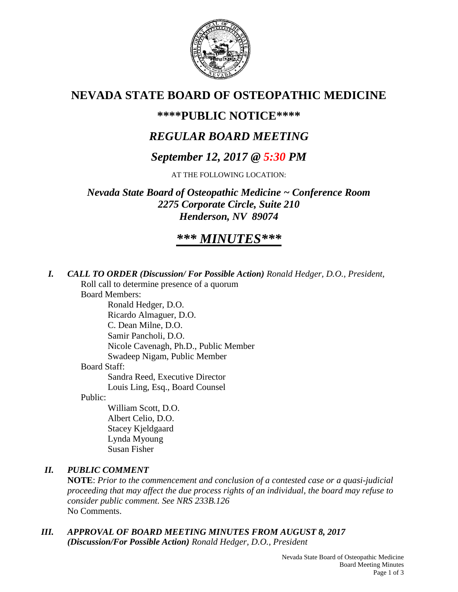

## **NEVADA STATE BOARD OF OSTEOPATHIC MEDICINE**

### **\*\*\*\*PUBLIC NOTICE\*\*\*\***

## *REGULAR BOARD MEETING*

## *September 12, 2017 @ 5:30 PM*

AT THE FOLLOWING LOCATION:

*Nevada State Board of Osteopathic Medicine ~ Conference Room 2275 Corporate Circle, Suite 210 Henderson, NV 89074*

# *\*\*\* MINUTES\*\*\**

*I. CALL TO ORDER (Discussion/ For Possible Action) Ronald Hedger, D.O., President,* Roll call to determine presence of a quorum Board Members: Ronald Hedger, D.O. Ricardo Almaguer, D.O. C. Dean Milne, D.O. Samir Pancholi, D.O. Nicole Cavenagh, Ph.D., Public Member Swadeep Nigam, Public Member Board Staff: Sandra Reed, Executive Director

Louis Ling, Esq., Board Counsel

Public:

William Scott, D.O. Albert Celio, D.O. Stacey Kjeldgaard Lynda Myoung Susan Fisher

### *II. PUBLIC COMMENT*

**NOTE**: *Prior to the commencement and conclusion of a contested case or a quasi-judicial proceeding that may affect the due process rights of an individual, the board may refuse to consider public comment. See NRS 233B.126* No Comments.

*III. APPROVAL OF BOARD MEETING MINUTES FROM AUGUST 8, 2017 (Discussion/For Possible Action) Ronald Hedger, D.O., President*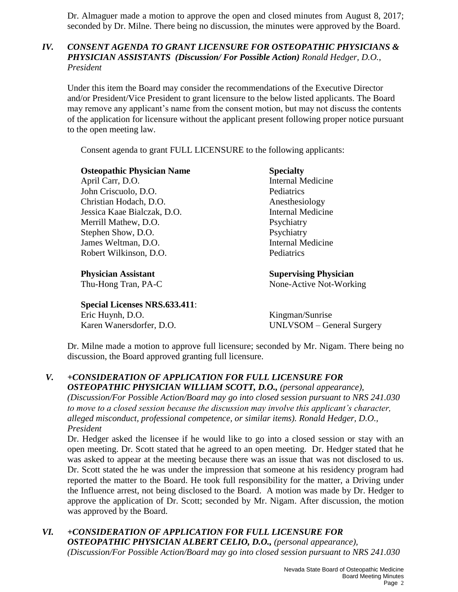Dr. Almaguer made a motion to approve the open and closed minutes from August 8, 2017; seconded by Dr. Milne. There being no discussion, the minutes were approved by the Board.

#### *IV. CONSENT AGENDA TO GRANT LICENSURE FOR OSTEOPATHIC PHYSICIANS & PHYSICIAN ASSISTANTS (Discussion/ For Possible Action) Ronald Hedger, D.O., President*

Under this item the Board may consider the recommendations of the Executive Director and/or President/Vice President to grant licensure to the below listed applicants. The Board may remove any applicant's name from the consent motion, but may not discuss the contents of the application for licensure without the applicant present following proper notice pursuant to the open meeting law.

Consent agenda to grant FULL LICENSURE to the following applicants:

| <b>Osteopathic Physician Name</b> | <b>Specialty</b>             |
|-----------------------------------|------------------------------|
| April Carr, D.O.                  | <b>Internal Medicine</b>     |
| John Criscuolo, D.O.              | Pediatrics                   |
| Christian Hodach, D.O.            | Anesthesiology               |
| Jessica Kaae Bialczak, D.O.       | <b>Internal Medicine</b>     |
| Merrill Mathew, D.O.              | Psychiatry                   |
| Stephen Show, D.O.                | Psychiatry                   |
| James Weltman, D.O.               | <b>Internal Medicine</b>     |
| Robert Wilkinson, D.O.            | Pediatrics                   |
| <b>Physician Assistant</b>        | <b>Supervising Physician</b> |

**Special Licenses NRS.633.411**: Eric Huynh, D.O. Kingman/Sunrise Karen Wanersdorfer, D.O. UNLVSOM – General Surgery

Thu-Hong Tran, PA-C None-Active Not-Working

Dr. Milne made a motion to approve full licensure; seconded by Mr. Nigam. There being no discussion, the Board approved granting full licensure.

*V. +CONSIDERATION OF APPLICATION FOR FULL LICENSURE FOR OSTEOPATHIC PHYSICIAN WILLIAM SCOTT, D.O., (personal appearance), (Discussion/For Possible Action/Board may go into closed session pursuant to NRS 241.030 to move to a closed session because the discussion may involve this applicant's character, alleged misconduct, professional competence, or similar items). Ronald Hedger, D.O., President* 

Dr. Hedger asked the licensee if he would like to go into a closed session or stay with an open meeting. Dr. Scott stated that he agreed to an open meeting. Dr. Hedger stated that he was asked to appear at the meeting because there was an issue that was not disclosed to us. Dr. Scott stated the he was under the impression that someone at his residency program had reported the matter to the Board. He took full responsibility for the matter, a Driving under the Influence arrest, not being disclosed to the Board. A motion was made by Dr. Hedger to approve the application of Dr. Scott; seconded by Mr. Nigam. After discussion, the motion was approved by the Board.

*VI. +CONSIDERATION OF APPLICATION FOR FULL LICENSURE FOR OSTEOPATHIC PHYSICIAN ALBERT CELIO, D.O., (personal appearance), (Discussion/For Possible Action/Board may go into closed session pursuant to NRS 241.030*